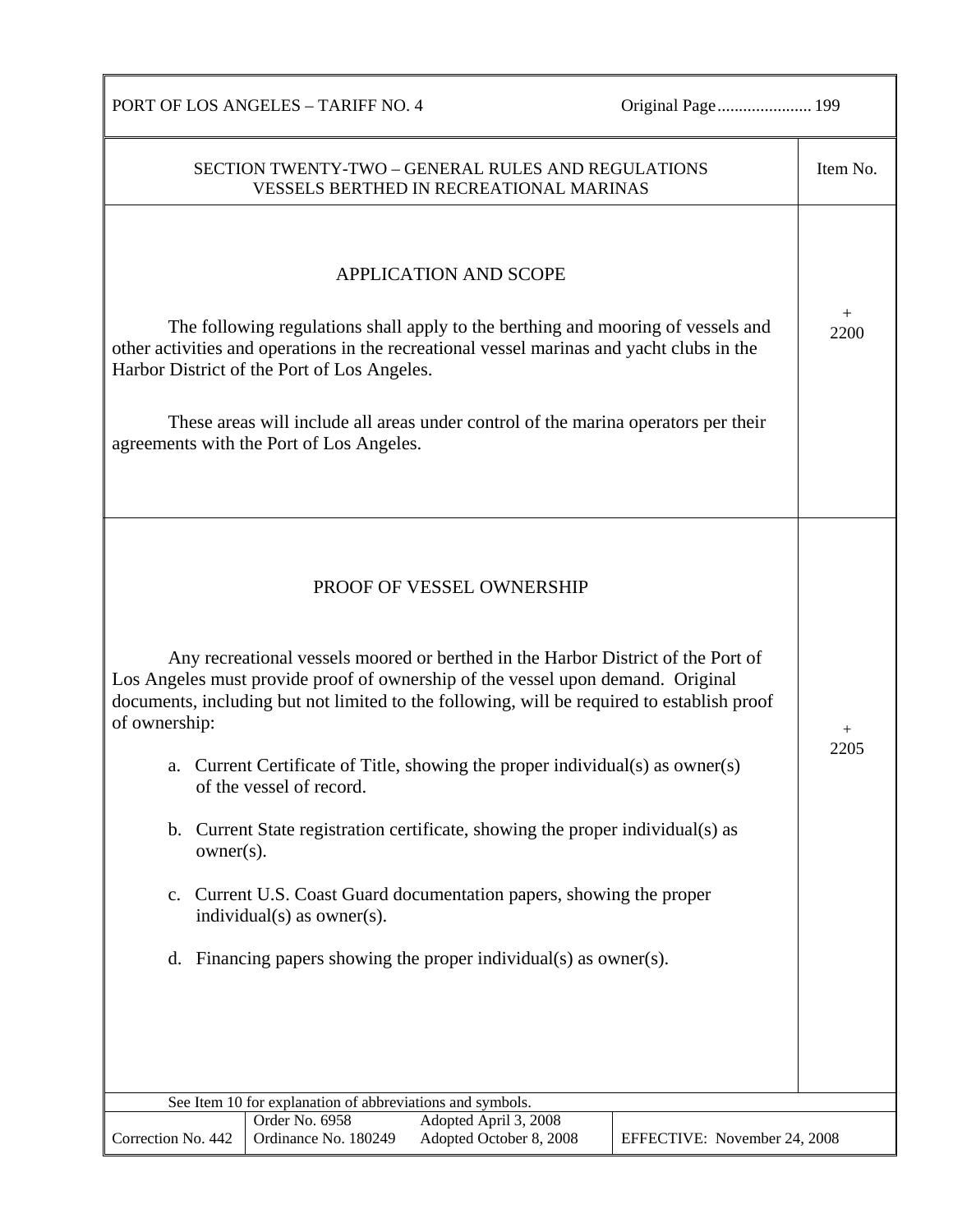Original Page.......................... 199

| PORT OF LOS ANGELES – TARIFF NO. 4 |  |
|------------------------------------|--|
|------------------------------------|--|

| <b>APPLICATION AND SCOPE</b>                                                                                                                                                                                                                                                                                                                                                                                                                                                                                                                                                                                                                                                                                                   | $^+$           |
|--------------------------------------------------------------------------------------------------------------------------------------------------------------------------------------------------------------------------------------------------------------------------------------------------------------------------------------------------------------------------------------------------------------------------------------------------------------------------------------------------------------------------------------------------------------------------------------------------------------------------------------------------------------------------------------------------------------------------------|----------------|
| The following regulations shall apply to the berthing and mooring of vessels and<br>other activities and operations in the recreational vessel marinas and yacht clubs in the<br>Harbor District of the Port of Los Angeles.<br>These areas will include all areas under control of the marina operators per their<br>agreements with the Port of Los Angeles.                                                                                                                                                                                                                                                                                                                                                                 | 2200           |
| PROOF OF VESSEL OWNERSHIP<br>Any recreational vessels moored or berthed in the Harbor District of the Port of<br>Los Angeles must provide proof of ownership of the vessel upon demand. Original<br>documents, including but not limited to the following, will be required to establish proof<br>of ownership:<br>Current Certificate of Title, showing the proper individual(s) as owner(s)<br>a.<br>of the vessel of record.<br>b. Current State registration certificate, showing the proper individual(s) as<br>$owner(s)$ .<br>Current U.S. Coast Guard documentation papers, showing the proper<br>$\mathbf{c}$ .<br>individual(s) as owner(s).<br>Financing papers showing the proper individual(s) as owner(s).<br>d. | $^{+}$<br>2205 |
| See Item 10 for explanation of abbreviations and symbols.<br>Order No. 6958<br>Adopted April 3, 2008<br>Correction No. 442<br>Ordinance No. 180249<br>Adopted October 8, 2008<br>EFFECTIVE: November 24, 2008                                                                                                                                                                                                                                                                                                                                                                                                                                                                                                                  |                |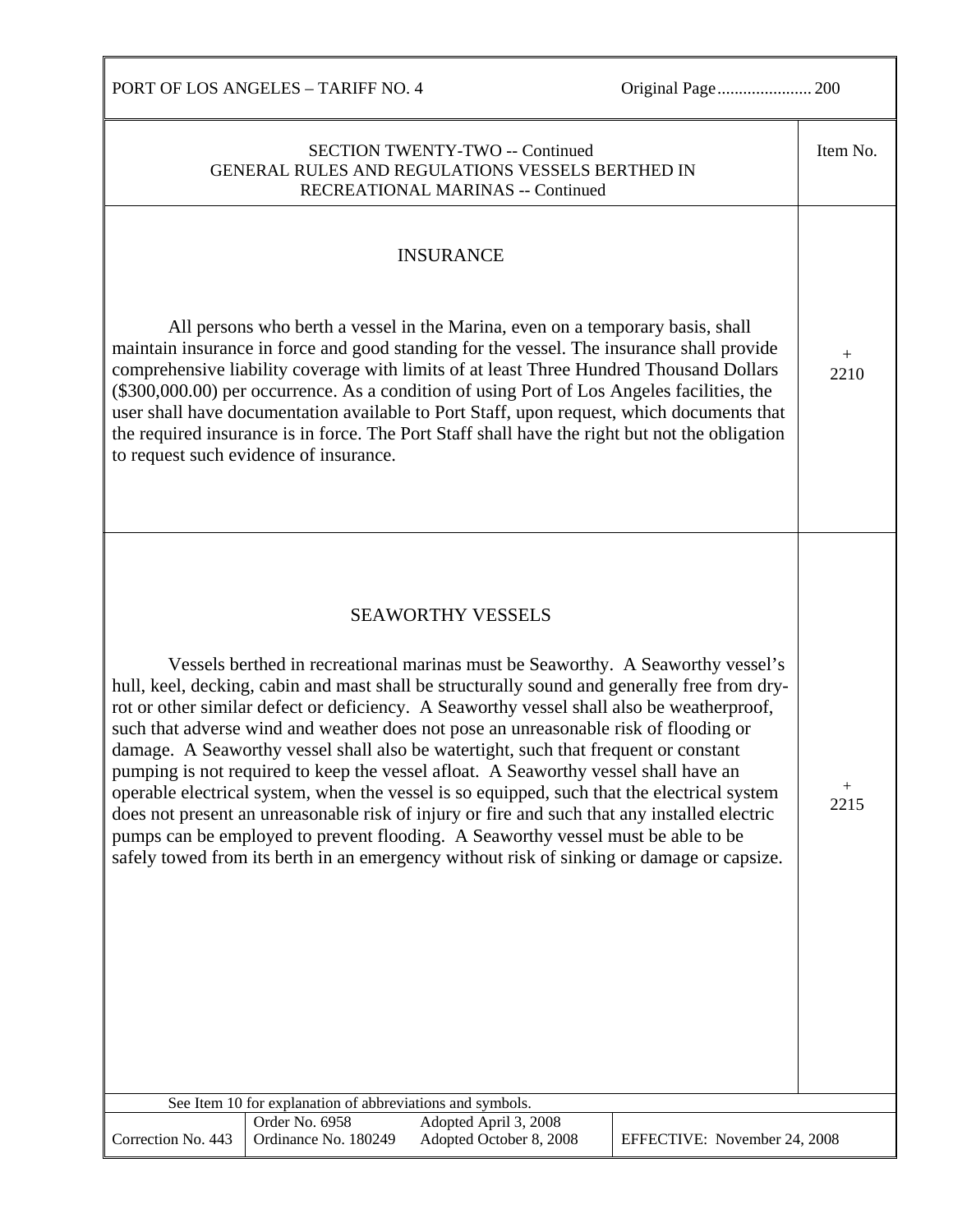PORT OF LOS ANGELES – TARIFF NO. 4 Original Page...................... 200 SECTION TWENTY-TWO -- Continued GENERAL RULES AND REGULATIONS VESSELS BERTHED IN RECREATIONAL MARINAS -- Continued Item No. INSURANCE All persons who berth a vessel in the Marina, even on a temporary basis, shall maintain insurance in force and good standing for the vessel. The insurance shall provide comprehensive liability coverage with limits of at least Three Hundred Thousand Dollars (\$300,000.00) per occurrence. As a condition of using Port of Los Angeles facilities, the user shall have documentation available to Port Staff, upon request, which documents that the required insurance is in force. The Port Staff shall have the right but not the obligation to request such evidence of insurance. SEAWORTHY VESSELS Vessels berthed in recreational marinas must be Seaworthy. A Seaworthy vessel's hull, keel, decking, cabin and mast shall be structurally sound and generally free from dryrot or other similar defect or deficiency. A Seaworthy vessel shall also be weatherproof, such that adverse wind and weather does not pose an unreasonable risk of flooding or damage. A Seaworthy vessel shall also be watertight, such that frequent or constant pumping is not required to keep the vessel afloat. A Seaworthy vessel shall have an operable electrical system, when the vessel is so equipped, such that the electrical system does not present an unreasonable risk of injury or fire and such that any installed electric pumps can be employed to prevent flooding. A Seaworthy vessel must be able to be safely towed from its berth in an emergency without risk of sinking or damage or capsize.  $+$ 2210 + 2215 See Item 10 for explanation of abbreviations and symbols. Correction No. 443 Order No. 6958 Adopted April 3, 2008 Ordinance No. 180249 Adopted October 8, 2008 EFFECTIVE: November 24, 2008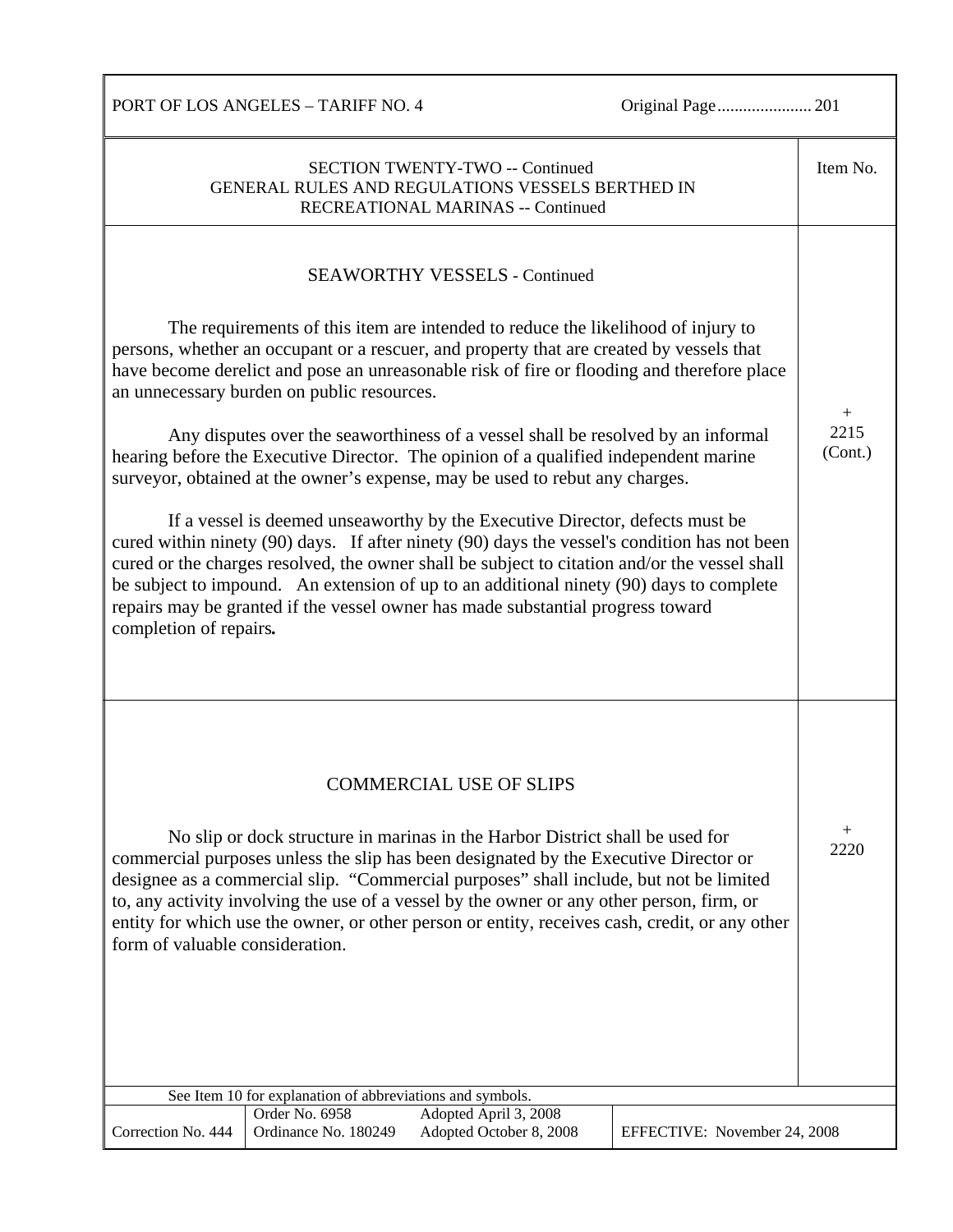PORT OF LOS ANGELES – TARIFF NO. 4 Original Page...................... 201

| <b>SECTION TWENTY-TWO -- Continued</b><br>GENERAL RULES AND REGULATIONS VESSELS BERTHED IN<br>RECREATIONAL MARINAS -- Continued                                                                                                                                                                                                                                                                                                                                                                                                                                                                                                                                                                                                                                                                                                                                                                                                                                                                                                                                                                                       | Item No.                  |
|-----------------------------------------------------------------------------------------------------------------------------------------------------------------------------------------------------------------------------------------------------------------------------------------------------------------------------------------------------------------------------------------------------------------------------------------------------------------------------------------------------------------------------------------------------------------------------------------------------------------------------------------------------------------------------------------------------------------------------------------------------------------------------------------------------------------------------------------------------------------------------------------------------------------------------------------------------------------------------------------------------------------------------------------------------------------------------------------------------------------------|---------------------------|
| <b>SEAWORTHY VESSELS - Continued</b><br>The requirements of this item are intended to reduce the likelihood of injury to<br>persons, whether an occupant or a rescuer, and property that are created by vessels that<br>have become derelict and pose an unreasonable risk of fire or flooding and therefore place<br>an unnecessary burden on public resources.<br>Any disputes over the seaworthiness of a vessel shall be resolved by an informal<br>hearing before the Executive Director. The opinion of a qualified independent marine<br>surveyor, obtained at the owner's expense, may be used to rebut any charges.<br>If a vessel is deemed unseaworthy by the Executive Director, defects must be<br>cured within ninety (90) days. If after ninety (90) days the vessel's condition has not been<br>cured or the charges resolved, the owner shall be subject to citation and/or the vessel shall<br>be subject to impound. An extension of up to an additional ninety (90) days to complete<br>repairs may be granted if the vessel owner has made substantial progress toward<br>completion of repairs. | $^{+}$<br>2215<br>(Cont.) |
| <b>COMMERCIAL USE OF SLIPS</b><br>No slip or dock structure in marinas in the Harbor District shall be used for<br>commercial purposes unless the slip has been designated by the Executive Director or<br>designee as a commercial slip. "Commercial purposes" shall include, but not be limited<br>to, any activity involving the use of a vessel by the owner or any other person, firm, or<br>entity for which use the owner, or other person or entity, receives cash, credit, or any other<br>form of valuable consideration.                                                                                                                                                                                                                                                                                                                                                                                                                                                                                                                                                                                   | $\mathrm{+}$<br>2220      |
| See Item 10 for explanation of abbreviations and symbols.<br>Order No. 6958<br>Adopted April 3, 2008                                                                                                                                                                                                                                                                                                                                                                                                                                                                                                                                                                                                                                                                                                                                                                                                                                                                                                                                                                                                                  |                           |
| Adopted October 8, 2008<br>Correction No. 444<br>Ordinance No. 180249<br>EFFECTIVE: November 24, 2008                                                                                                                                                                                                                                                                                                                                                                                                                                                                                                                                                                                                                                                                                                                                                                                                                                                                                                                                                                                                                 |                           |